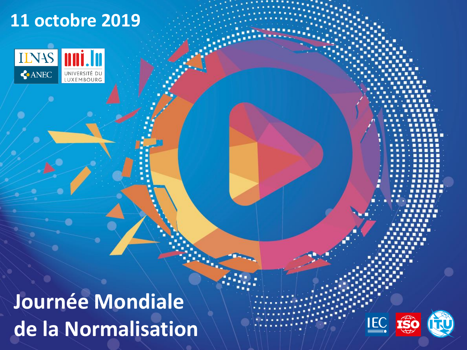# **11 octobre 2019Inni. In IENAS** CANEC UNIVERSITÉ DU **Journée Mondiale**   $\underline{\text{IEC}}$ **de la Normalisation**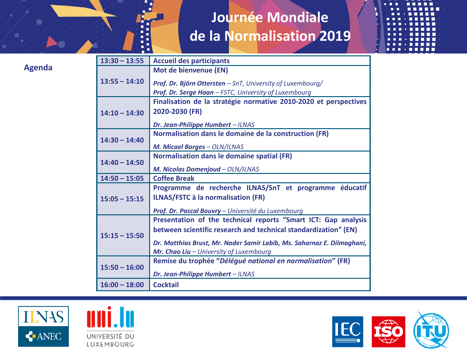| $13:30 - 13:55$ | <b>Accueil des participants</b>                                                                                     |
|-----------------|---------------------------------------------------------------------------------------------------------------------|
| $13:55 - 14:10$ | Mot de bienvenue (EN)                                                                                               |
|                 | Prof. Dr. Björn Ottersten - SnT, University of Luxembourg/<br>Prof. Dr. Serge Haan - FSTC, University of Luxembourg |
| $14:10 - 14:30$ | Finalisation de la stratégie normative 2010-2020 et perspectives                                                    |
|                 | 2020-2030 (FR)                                                                                                      |
|                 | Dr. Jean-Philippe Humbert - ILNAS                                                                                   |
| $14:30 - 14:40$ | Normalisation dans le domaine de la construction (FR)                                                               |
|                 | M. Micael Borges - OLN/ILNAS                                                                                        |
| $14:40 - 14:50$ | Normalisation dans le domaine spatial (FR)                                                                          |
|                 | M. Nicolas Domenjoud - OLN/ILNAS                                                                                    |
| $14:50 - 15:05$ | <b>Coffee Break</b>                                                                                                 |
| $15:05 - 15:15$ | Programme de recherche ILNAS/SnT et programme éducatif                                                              |
|                 | <b>ILNAS/FSTC à la normalisation (FR)</b>                                                                           |
|                 | Prof. Dr. Pascal Bouvry - Université du Luxembourg                                                                  |
| $15:15 - 15:50$ | Presentation of the technical reports "Smart ICT: Gap analysis                                                      |
|                 | between scientific research and technical standardization" (EN)                                                     |
|                 | Dr. Matthias Brust, Mr. Nader Samir Labib, Ms. Saharnaz E. Dilmaghani,                                              |
|                 | Mr. Chao Liu - University of Luxembourg                                                                             |
| $15:50 - 16:00$ | Remise du trophée "Délégué national en normalisation" (FR)                                                          |
|                 | Dr. Jean-Philippe Humbert - ILNAS                                                                                   |
| $16:00 - 18:00$ | <b>Cocktail</b>                                                                                                     |
|                 |                                                                                                                     |





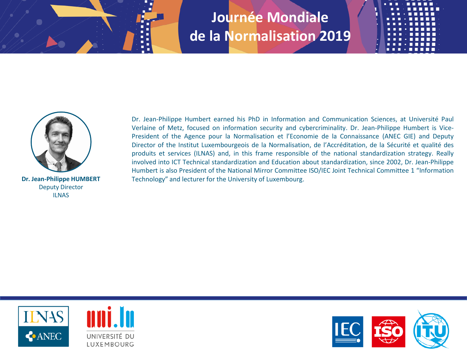



Deputy Director ILNAS

Dr. Jean-Philippe Humbert earned his PhD in Information and Communication Sciences, at Université Paul Verlaine of Metz, focused on information security and cybercriminality. Dr. Jean-Philippe Humbert is Vice-President of the Agence pour la Normalisation et l'Economie de la Connaissance (ANEC GIE) and Deputy Director of the Institut Luxembourgeois de la Normalisation, de l'Accréditation, de la Sécurité et qualité des produits et services (ILNAS) and, in this frame responsible of the national standardization strategy. Really involved into ICT Technical standardization and Education about standardization, since 2002, Dr. Jean-Philippe Humbert is also President of the National Mirror Committee ISO/IEC Joint Technical Committee 1 "Information **Dr. Jean-Philippe HUMBERT** Technology" and lecturer for the University of Luxembourg.



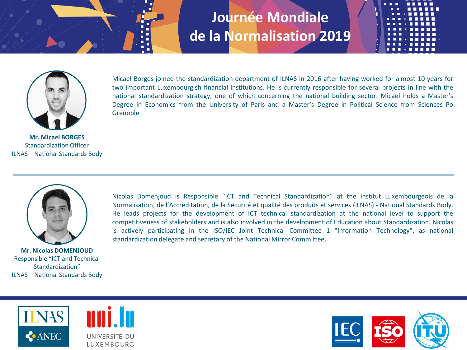

Micael Borges joined the standardization department of ILNAS in 2016 after having worked for almost 10 years for two important Luxembourgish financial institutions. He is currently responsible for several projects in line with the national standardization strategy, one of which concerning the national building sector. Micael holds a Master's Degree in Economics from the University of Paris and a Master's Degree in Political Science from Sciences Po Grenoble.

**Mr. Micael BORGES** Standardization Officer ILNAS – National Standards Body



**Mr. Nicolas DOMENJOUD** Responsible "ICT and Technical Standardization" ILNAS – National Standards Body Nicolas Domenjoud is Responsible "ICT and Technical Standardization" at the Institut Luxembourgeois de la Normalisation, de l'Accréditation, de la Sécurité et qualité des produits et services (ILNAS) - National Standards Body. He leads projects for the development of ICT technical standardization at the national level to support the competitiveness of stakeholders and is also involved in the development of Education about Standardization. Nicolas is actively participating in the ISO/IEC Joint Technical Committee 1 "Information Technology", as national standardization delegate and secretary of the National Mirror Committee.





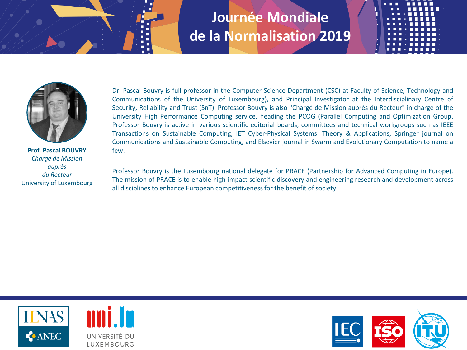

**Prof. Pascal BOUVRY** *Chargé de Mission auprès du Recteur* University of Luxembourg

Dr. Pascal Bouvry is full professor in the Computer Science Department (CSC) at Faculty of Science, Technology and Communications of the University of Luxembourg), and Principal Investigator at the Interdisciplinary Centre of Security, Reliability and Trust (SnT). Professor Bouvry is also "Chargé de Mission auprès du Recteur" in charge of the University High Performance Computing service, heading the PCOG (Parallel Computing and Optimization Group. Professor Bouvry is active in various scientific editorial boards, committees and technical workgroups such as IEEE Transactions on Sustainable Computing, IET Cyber-Physical Systems: Theory & Applications, Springer journal on Communications and Sustainable Computing, and Elsevier journal in Swarm and Evolutionary Computation to name a few.

Professor Bouvry is the Luxembourg national delegate for PRACE (Partnership for Advanced Computing in Europe). The mission of PRACE is to enable high-impact scientific discovery and engineering research and development across all disciplines to enhance European competitivenessfor the benefit of society.



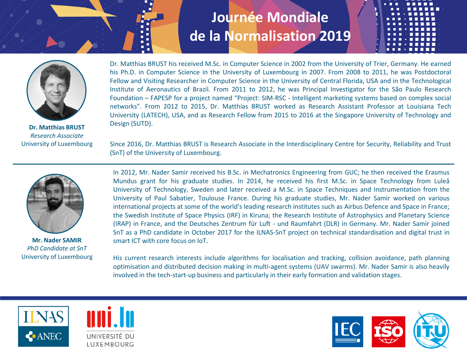

**Dr. Matthias BRUST** *Research Associate* University of Luxembourg Dr. Matthias BRUST his received M.Sc. in Computer Science in 2002 from the University of Trier, Germany. He earned his Ph.D. in Computer Science in the University of Luxembourg in 2007. From 2008 to 2011, he was Postdoctoral Fellow and Visiting Researcher in Computer Science in the University of Central Florida, USA and in the Technological Institute of Aeronautics of Brazil. From 2011 to 2012, he was Principal Investigator for the São Paulo Research Foundation – FAPESP for a project named "Project: SIM-RSC - Intelligent marketing systems based on complex social networks". From 2012 to 2015, Dr. Matthias BRUST worked as Research Assistant Professor at Louisiana Tech University (LATECH), USA, and as Research Fellow from 2015 to 2016 at the Singapore University of Technology and Design (SUTD).

Since 2016, Dr. Matthias BRUST is Research Associate in the Interdisciplinary Centre for Security, Reliability and Trust (SnT) of the University of Luxembourg.



**Mr. Nader SAMIR** *PhD Candidate at SnT* University of Luxembourg

In 2012, Mr. Nader Samir received his B.Sc. in Mechatronics Engineering from GUC; he then received the Erasmus Mundus grant for his graduate studies. In 2014, he received his first M.Sc. in Space Technology from Luleå University of Technology, Sweden and later received a M.Sc. in Space Techniques and Instrumentation from the University of Paul Sabatier, Toulouse France. During his graduate studies, Mr. Nader Samir worked on various international projects at some of the world's leading research institutes such as Airbus Defence and Space in France; the Swedish Institute of Space Physics (IRF) in Kiruna; the Research Institute of Astrophysics and Planetary Science (IRAP) in France, and the Deutsches Zentrum für Luft - und Raumfahrt (DLR) in Germany. Mr. Nader Samir joined SnT as a PhD candidate in October 2017 for the ILNAS-SnT project on technical standardisation and digital trust in smart ICT with core focus on IoT.

His current research interests include algorithms for localisation and tracking, collision avoidance, path planning optimisation and distributed decision making in multi-agent systems (UAV swarms). Mr. Nader Samir is also heavily involved in the tech-start-up business and particularly in their early formation and validation stages.





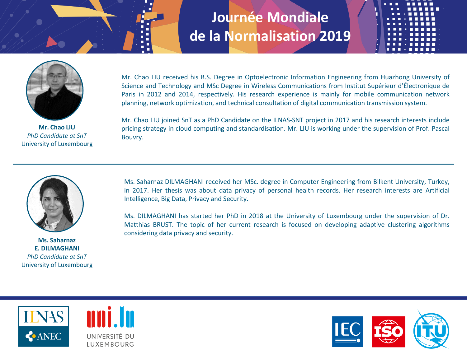

**Mr. Chao LIU** *PhD Candidate at SnT* University of Luxembourg

Mr. Chao LIU received his B.S. Degree in Optoelectronic Information Engineering from Huazhong University of Science and Technology and MSc Degree in Wireless Communications from Institut Supérieur d'Électronique de Paris in 2012 and 2014, respectively. His research experience is mainly for mobile communication network planning, network optimization, and technical consultation of digital communication transmission system.

Mr. Chao LIU joined SnT as a PhD Candidate on the ILNAS-SNT project in 2017 and his research interests include pricing strategy in cloud computing and standardisation. Mr. LIU is working under the supervision of Prof. Pascal Bouvry.



**Ms. Saharnaz E. DILMAGHANI** *PhD Candidate at SnT* University of Luxembourg

Ms. Saharnaz DILMAGHANI received her MSc. degree in Computer Engineering from Bilkent University, Turkey, in 2017. Her thesis was about data privacy of personal health records. Her research interests are Artificial Intelligence, Big Data, Privacy and Security.

Ms. DILMAGHANI has started her PhD in 2018 at the University of Luxembourg under the supervision of Dr. Matthias BRUST. The topic of her current research is focused on developing adaptive clustering algorithms considering data privacy and security.



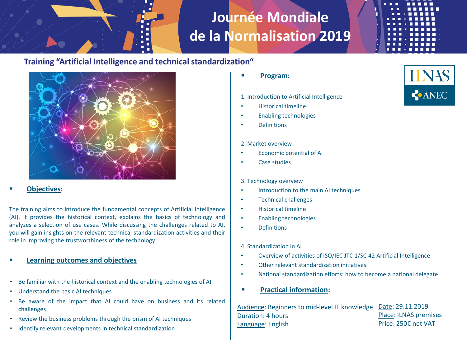

### **Training "Artificial Intelligence and technical standardization"**



#### ▪ **Objectives:**

The training aims to introduce the fundamental concepts of Artificial Intelligence (AI). It provides the historical context, explains the basics of technology and analyzes a selection of use cases. While discussing the challenges related to AI, you will gain insights on the relevant technical standardization activities and their role in improving the trustworthiness of the technology.

- **Learning outcomes and objectives**
- Be familiar with the historical context and the enabling technologies of AI
- Understand the basic AI techniques
- Be aware of the impact that AI could have on business and its related challenges
- Review the business problems through the prism of AI techniques
- Identify relevant developments in technical standardization

▪ **Program:**

1. Introduction to Artificial Intelligence

- Historical timeline
- Enabling technologies
- **Definitions**

#### 2. Market overview

- Economic potential of AI
- Case studies

#### 3. Technology overview

- Introduction to the main AI techniques
- Technical challenges
- Historical timeline
- Enabling technologies
- Definitions
- 4. Standardization in AI
- Overview of activities of ISO/IEC JTC 1/SC 42 Artificial Intelligence
- Other relevant standardization initiatives
- National standardization efforts: how to become a national delegate
- **Practical information:**

Audience: Beginners to mid-level IT knowledge Duration: 4 hours Language: English Date: 29.11.2019 Place: ILNAS premises Price: 250€ net VAT